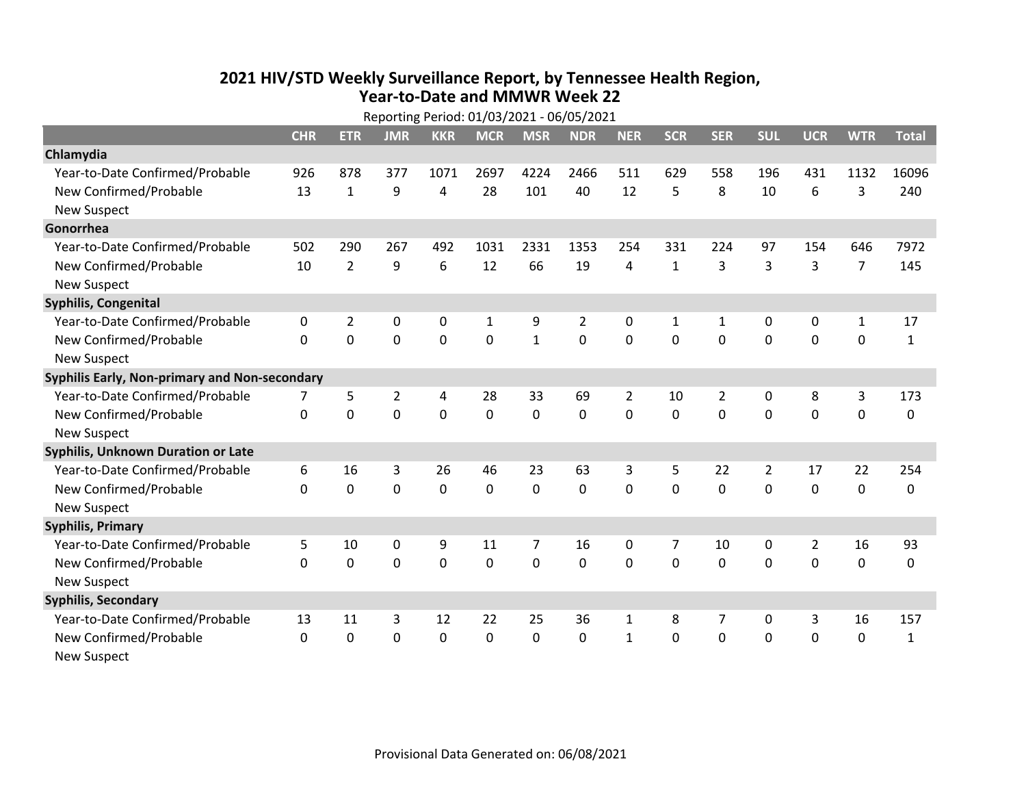## **2021 HIV /STD Weekly Surveillance Report, by Tennessee Health Region, Year‐to‐Date and MMWR Week 22**

|                                               | Reporting Period: 01/03/2021 - 06/05/2021 |                |                |            |              |              |             |              |              |                |              |             |                |              |
|-----------------------------------------------|-------------------------------------------|----------------|----------------|------------|--------------|--------------|-------------|--------------|--------------|----------------|--------------|-------------|----------------|--------------|
|                                               | <b>CHR</b>                                | <b>ETR</b>     | <b>JMR</b>     | <b>KKR</b> | <b>MCR</b>   | <b>MSR</b>   | <b>NDR</b>  | <b>NER</b>   | <b>SCR</b>   | <b>SER</b>     | <b>SUL</b>   | <b>UCR</b>  | <b>WTR</b>     | <b>Total</b> |
| Chlamydia                                     |                                           |                |                |            |              |              |             |              |              |                |              |             |                |              |
| Year-to-Date Confirmed/Probable               | 926                                       | 878            | 377            | 1071       | 2697         | 4224         | 2466        | 511          | 629          | 558            | 196          | 431         | 1132           | 16096        |
| New Confirmed/Probable                        | 13                                        | $\mathbf{1}$   | 9              | 4          | 28           | 101          | 40          | 12           | 5            | 8              | 10           | 6           | 3              | 240          |
| <b>New Suspect</b>                            |                                           |                |                |            |              |              |             |              |              |                |              |             |                |              |
| Gonorrhea                                     |                                           |                |                |            |              |              |             |              |              |                |              |             |                |              |
| Year-to-Date Confirmed/Probable               | 502                                       | 290            | 267            | 492        | 1031         | 2331         | 1353        | 254          | 331          | 224            | 97           | 154         | 646            | 7972         |
| New Confirmed/Probable                        | 10                                        | $\overline{2}$ | 9              | 6          | 12           | 66           | 19          | 4            | $\mathbf{1}$ | 3              | 3            | 3           | $\overline{7}$ | 145          |
| <b>New Suspect</b>                            |                                           |                |                |            |              |              |             |              |              |                |              |             |                |              |
| <b>Syphilis, Congenital</b>                   |                                           |                |                |            |              |              |             |              |              |                |              |             |                |              |
| Year-to-Date Confirmed/Probable               | $\Omega$                                  | $\overline{2}$ | 0              | 0          | $\mathbf{1}$ | 9            | 2           | $\mathbf{0}$ | 1            | 1              | $\mathbf{0}$ | 0           | $\mathbf{1}$   | 17           |
| New Confirmed/Probable                        | $\Omega$                                  | 0              | 0              | 0          | 0            | $\mathbf{1}$ | 0           | $\Omega$     | $\Omega$     | $\mathbf 0$    | 0            | 0           | $\mathbf 0$    | $\mathbf{1}$ |
| <b>New Suspect</b>                            |                                           |                |                |            |              |              |             |              |              |                |              |             |                |              |
| Syphilis Early, Non-primary and Non-secondary |                                           |                |                |            |              |              |             |              |              |                |              |             |                |              |
| Year-to-Date Confirmed/Probable               | 7                                         | 5              | $\overline{2}$ | 4          | 28           | 33           | 69          | 2            | 10           | $\overline{2}$ | 0            | 8           | 3              | 173          |
| New Confirmed/Probable                        | $\Omega$                                  | $\mathbf 0$    | 0              | 0          | 0            | $\mathbf 0$  | 0           | $\Omega$     | $\Omega$     | $\mathbf 0$    | 0            | $\mathbf 0$ | $\mathbf 0$    | 0            |
| <b>New Suspect</b>                            |                                           |                |                |            |              |              |             |              |              |                |              |             |                |              |
| Syphilis, Unknown Duration or Late            |                                           |                |                |            |              |              |             |              |              |                |              |             |                |              |
| Year-to-Date Confirmed/Probable               | 6                                         | 16             | 3              | 26         | 46           | 23           | 63          | 3            | 5            | 22             | 2            | 17          | 22             | 254          |
| New Confirmed/Probable                        | $\Omega$                                  | $\mathbf 0$    | 0              | 0          | $\mathbf 0$  | $\mathbf 0$  | $\mathbf 0$ | $\Omega$     | $\Omega$     | $\mathbf{0}$   | 0            | $\mathbf 0$ | $\mathbf 0$    | 0            |
| <b>New Suspect</b>                            |                                           |                |                |            |              |              |             |              |              |                |              |             |                |              |
| <b>Syphilis, Primary</b>                      |                                           |                |                |            |              |              |             |              |              |                |              |             |                |              |
| Year-to-Date Confirmed/Probable               | 5                                         | 10             | 0              | 9          | 11           | 7            | 16          | 0            | 7            | 10             | 0            | 2           | 16             | 93           |
| New Confirmed/Probable                        | $\Omega$                                  | $\mathbf{0}$   | 0              | 0          | 0            | 0            | $\mathbf 0$ | $\Omega$     | $\Omega$     | $\mathbf 0$    | 0            | 0           | $\mathbf 0$    | 0            |
| <b>New Suspect</b>                            |                                           |                |                |            |              |              |             |              |              |                |              |             |                |              |
| <b>Syphilis, Secondary</b>                    |                                           |                |                |            |              |              |             |              |              |                |              |             |                |              |
| Year-to-Date Confirmed/Probable               | 13                                        | 11             | 3              | 12         | 22           | 25           | 36          | 1            | 8            | 7              | 0            | 3           | 16             | 157          |
| New Confirmed/Probable                        | $\mathbf{0}$                              | 0              | 0              | 0          | 0            | 0            | 0           | $\mathbf{1}$ | $\Omega$     | $\mathbf 0$    | 0            | $\mathbf 0$ | $\mathbf 0$    | $\mathbf{1}$ |
| New Suspect                                   |                                           |                |                |            |              |              |             |              |              |                |              |             |                |              |